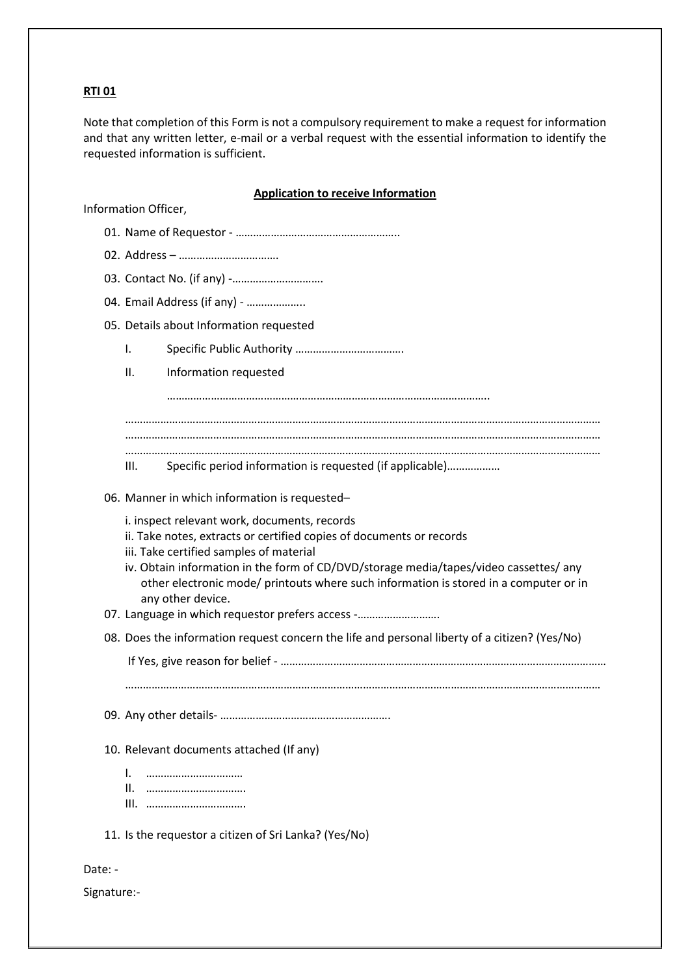## **RTI 01**

Note that completion of this Form is not a compulsory requirement to make a request for information and that any written letter, e-mail or a verbal request with the essential information to identify the requested information is sufficient.

## **Application to receive Information**

Information Officer,

|         | 03. Contact No. (if any) -                                                                                                                                                                                                                                                                                                                                             |
|---------|------------------------------------------------------------------------------------------------------------------------------------------------------------------------------------------------------------------------------------------------------------------------------------------------------------------------------------------------------------------------|
|         | 04. Email Address (if any) -                                                                                                                                                                                                                                                                                                                                           |
|         | 05. Details about Information requested                                                                                                                                                                                                                                                                                                                                |
|         | Ι.                                                                                                                                                                                                                                                                                                                                                                     |
|         | Ш.<br>Information requested                                                                                                                                                                                                                                                                                                                                            |
|         |                                                                                                                                                                                                                                                                                                                                                                        |
|         |                                                                                                                                                                                                                                                                                                                                                                        |
|         |                                                                                                                                                                                                                                                                                                                                                                        |
|         | Specific period information is requested (if applicable)<br>Ш.                                                                                                                                                                                                                                                                                                         |
|         | 06. Manner in which information is requested-                                                                                                                                                                                                                                                                                                                          |
|         | i. inspect relevant work, documents, records<br>ii. Take notes, extracts or certified copies of documents or records<br>iii. Take certified samples of material<br>iv. Obtain information in the form of CD/DVD/storage media/tapes/video cassettes/ any<br>other electronic mode/ printouts where such information is stored in a computer or in<br>any other device. |
|         | 07. Language in which requestor prefers access -                                                                                                                                                                                                                                                                                                                       |
|         | 08. Does the information request concern the life and personal liberty of a citizen? (Yes/No)                                                                                                                                                                                                                                                                          |
|         |                                                                                                                                                                                                                                                                                                                                                                        |
|         |                                                                                                                                                                                                                                                                                                                                                                        |
|         |                                                                                                                                                                                                                                                                                                                                                                        |
|         | 10. Relevant documents attached (If any)                                                                                                                                                                                                                                                                                                                               |
|         | I.<br>                                                                                                                                                                                                                                                                                                                                                                 |
|         | 11. Is the requestor a citizen of Sri Lanka? (Yes/No)                                                                                                                                                                                                                                                                                                                  |
| Date: - |                                                                                                                                                                                                                                                                                                                                                                        |

Signature:-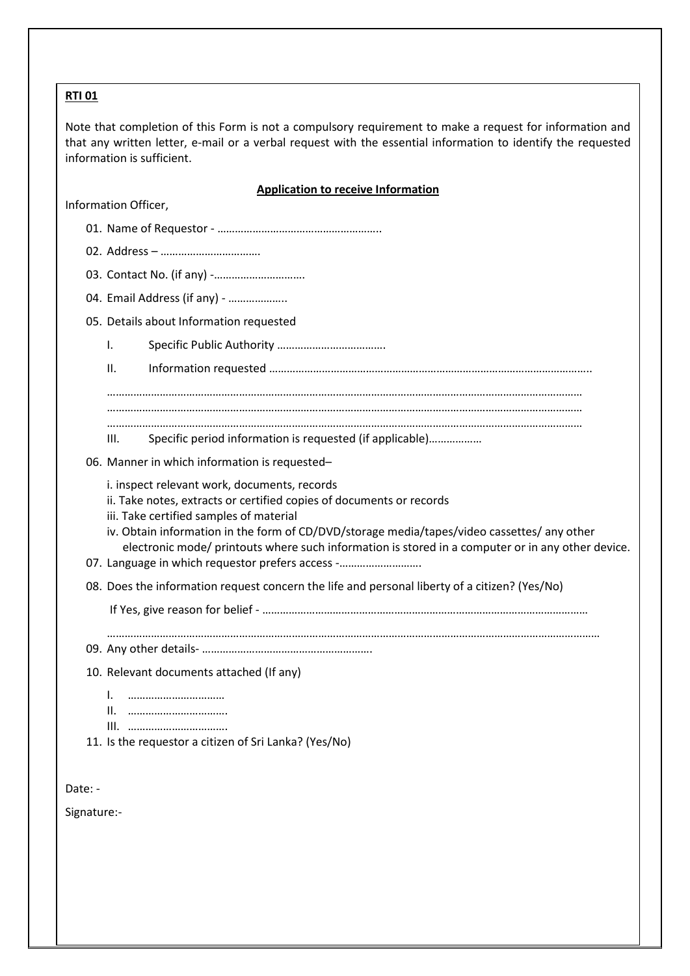## **RTI 01**

Note that completion of this Form is not a compulsory requirement to make a request for information and that any written letter, e-mail or a verbal request with the essential information to identify the requested information is sufficient.

## **Application to receive Information**

Information Officer,

|             | 04. Email Address (if any) -                                                                                                                                                                                                                                                                                                                                                                                            |
|-------------|-------------------------------------------------------------------------------------------------------------------------------------------------------------------------------------------------------------------------------------------------------------------------------------------------------------------------------------------------------------------------------------------------------------------------|
|             | 05. Details about Information requested                                                                                                                                                                                                                                                                                                                                                                                 |
|             | Ι.                                                                                                                                                                                                                                                                                                                                                                                                                      |
|             | II.                                                                                                                                                                                                                                                                                                                                                                                                                     |
|             |                                                                                                                                                                                                                                                                                                                                                                                                                         |
|             |                                                                                                                                                                                                                                                                                                                                                                                                                         |
|             | Specific period information is requested (if applicable)<br>III.                                                                                                                                                                                                                                                                                                                                                        |
|             | 06. Manner in which information is requested-                                                                                                                                                                                                                                                                                                                                                                           |
|             | i. inspect relevant work, documents, records<br>ii. Take notes, extracts or certified copies of documents or records<br>iii. Take certified samples of material<br>iv. Obtain information in the form of CD/DVD/storage media/tapes/video cassettes/ any other<br>electronic mode/ printouts where such information is stored in a computer or in any other device.<br>07. Language in which requestor prefers access - |
|             | 08. Does the information request concern the life and personal liberty of a citizen? (Yes/No)                                                                                                                                                                                                                                                                                                                           |
|             |                                                                                                                                                                                                                                                                                                                                                                                                                         |
|             |                                                                                                                                                                                                                                                                                                                                                                                                                         |
|             |                                                                                                                                                                                                                                                                                                                                                                                                                         |
|             | 10. Relevant documents attached (If any)                                                                                                                                                                                                                                                                                                                                                                                |
|             | I.<br><br>Ш.                                                                                                                                                                                                                                                                                                                                                                                                            |
|             | III.<br>                                                                                                                                                                                                                                                                                                                                                                                                                |
|             | 11. Is the requestor a citizen of Sri Lanka? (Yes/No)                                                                                                                                                                                                                                                                                                                                                                   |
|             |                                                                                                                                                                                                                                                                                                                                                                                                                         |
| Date: -     |                                                                                                                                                                                                                                                                                                                                                                                                                         |
| Signature:- |                                                                                                                                                                                                                                                                                                                                                                                                                         |
|             |                                                                                                                                                                                                                                                                                                                                                                                                                         |
|             |                                                                                                                                                                                                                                                                                                                                                                                                                         |